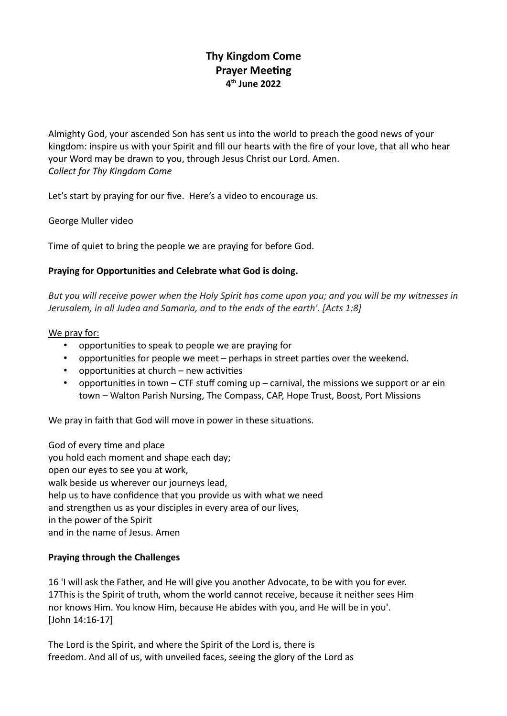# **Thy Kingdom Come Prayer Meeting 4 th June 2022**

Almighty God, your ascended Son has sent us into the world to preach the good news of your kingdom: inspire us with your Spirit and fill our hearts with the fire of your love, that all who hear your Word may be drawn to you, through Jesus Christ our Lord. Amen. *Collect for Thy Kingdom Come*

Let's start by praying for our five. Here's a video to encourage us.

George Muller video

Time of quiet to bring the people we are praying for before God.

#### **Praying for Opportunities and Celebrate what God is doing.**

*But you will receive power when the Holy Spirit has come upon you; and you will be my witnesses in Jerusalem, in all Judea and Samaria, and to the ends of the earth'. [Acts 1:8]*

#### We pray for:

- opportunities to speak to people we are praying for
- opportunities for people we meet perhaps in street parties over the weekend.
- opportunities at church new activities
- opportunities in town CTF stuff coming up carnival, the missions we support or ar ein town – Walton Parish Nursing, The Compass, CAP, Hope Trust, Boost, Port Missions

We pray in faith that God will move in power in these situations.

God of every time and place you hold each moment and shape each day; open our eyes to see you at work, walk beside us wherever our journeys lead, help us to have confidence that you provide us with what we need and strengthen us as your disciples in every area of our lives, in the power of the Spirit and in the name of Jesus. Amen

#### **Praying through the Challenges**

16 'I will ask the Father, and He will give you another Advocate, to be with you for ever. 17This is the Spirit of truth, whom the world cannot receive, because it neither sees Him nor knows Him. You know Him, because He abides with you, and He will be in you'. [John 14:16-17]

The Lord is the Spirit, and where the Spirit of the Lord is, there is freedom. And all of us, with unveiled faces, seeing the glory of the Lord as